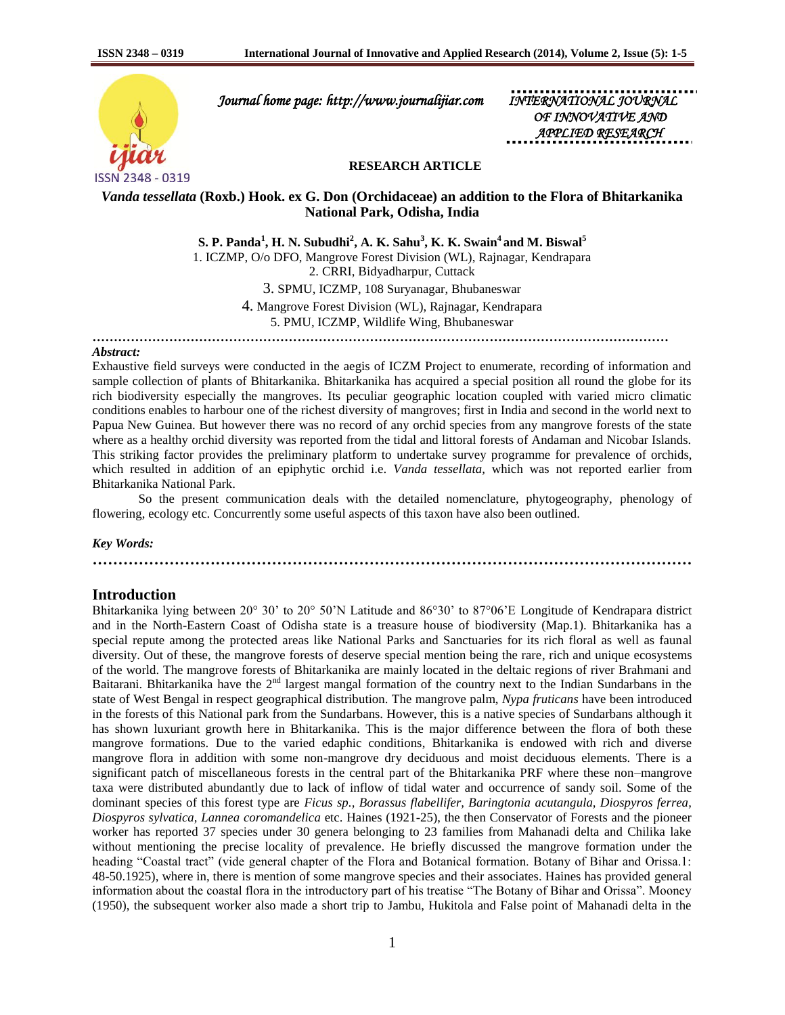

 *Journal home page: http://www.journalijiar.com INTERNATIONAL JOURNAL* 

*OF INNOVATIVE APPLIED RESEARCH* 

### **RESEARCH ARTICLE**

# *Vanda tessellata* **(Roxb.) Hook. ex G. Don (Orchidaceae) an addition to the Flora of Bhitarkanika National Park, Odisha, India**

**S. P. Panda<sup>1</sup> , H. N. Subudhi<sup>2</sup> , A. K. Sahu<sup>3</sup> , K. K. Swain<sup>4</sup> and M. Biswal<sup>5</sup>** 1. ICZMP, O/o DFO, Mangrove Forest Division (WL), Rajnagar, Kendrapara 2. CRRI, Bidyadharpur, Cuttack 3. SPMU, ICZMP, 108 Suryanagar, Bhubaneswar 4. Mangrove Forest Division (WL), Rajnagar, Kendrapara 5. PMU, ICZMP, Wildlife Wing, Bhubaneswar

*………………………………………………………………………………………………………………………*

### *Abstract:*

Exhaustive field surveys were conducted in the aegis of ICZM Project to enumerate, recording of information and sample collection of plants of Bhitarkanika. Bhitarkanika has acquired a special position all round the globe for its rich biodiversity especially the mangroves. Its peculiar geographic location coupled with varied micro climatic conditions enables to harbour one of the richest diversity of mangroves; first in India and second in the world next to Papua New Guinea. But however there was no record of any orchid species from any mangrove forests of the state where as a healthy orchid diversity was reported from the tidal and littoral forests of Andaman and Nicobar Islands. This striking factor provides the preliminary platform to undertake survey programme for prevalence of orchids, which resulted in addition of an epiphytic orchid i.e. *Vanda tessellata,* which was not reported earlier from Bhitarkanika National Park.

So the present communication deals with the detailed nomenclature, phytogeography, phenology of flowering, ecology etc. Concurrently some useful aspects of this taxon have also been outlined.

#### *Key Words:*

# **………………………………………………………………………………………………………**

### **Introduction**

Bhitarkanika lying between 20° 30' to 20° 50'N Latitude and 86°30' to 87°06'E Longitude of Kendrapara district and in the North-Eastern Coast of Odisha state is a treasure house of biodiversity (Map.1). Bhitarkanika has a special repute among the protected areas like National Parks and Sanctuaries for its rich floral as well as faunal diversity. Out of these, the mangrove forests of deserve special mention being the rare, rich and unique ecosystems of the world. The mangrove forests of Bhitarkanika are mainly located in the deltaic regions of river Brahmani and Baitarani. Bhitarkanika have the  $2<sup>nd</sup>$  largest mangal formation of the country next to the Indian Sundarbans in the state of West Bengal in respect geographical distribution. The mangrove palm, *Nypa fruticans* have been introduced in the forests of this National park from the Sundarbans. However, this is a native species of Sundarbans although it has shown luxuriant growth here in Bhitarkanika. This is the major difference between the flora of both these mangrove formations. Due to the varied edaphic conditions, Bhitarkanika is endowed with rich and diverse mangrove flora in addition with some non-mangrove dry deciduous and moist deciduous elements. There is a significant patch of miscellaneous forests in the central part of the Bhitarkanika PRF where these non–mangrove taxa were distributed abundantly due to lack of inflow of tidal water and occurrence of sandy soil. Some of the dominant species of this forest type are *Ficus sp., Borassus flabellifer, Baringtonia acutangula, Diospyros ferrea, Diospyros sylvatica, Lannea coromandelica* etc. Haines (1921-25), the then Conservator of Forests and the pioneer worker has reported 37 species under 30 genera belonging to 23 families from Mahanadi delta and Chilika lake without mentioning the precise locality of prevalence. He briefly discussed the mangrove formation under the heading "Coastal tract" (vide general chapter of the Flora and Botanical formation. Botany of Bihar and Orissa.1: 48-50.1925), where in, there is mention of some mangrove species and their associates. Haines has provided general information about the coastal flora in the introductory part of his treatise "The Botany of Bihar and Orissa". Mooney (1950), the subsequent worker also made a short trip to Jambu, Hukitola and False point of Mahanadi delta in the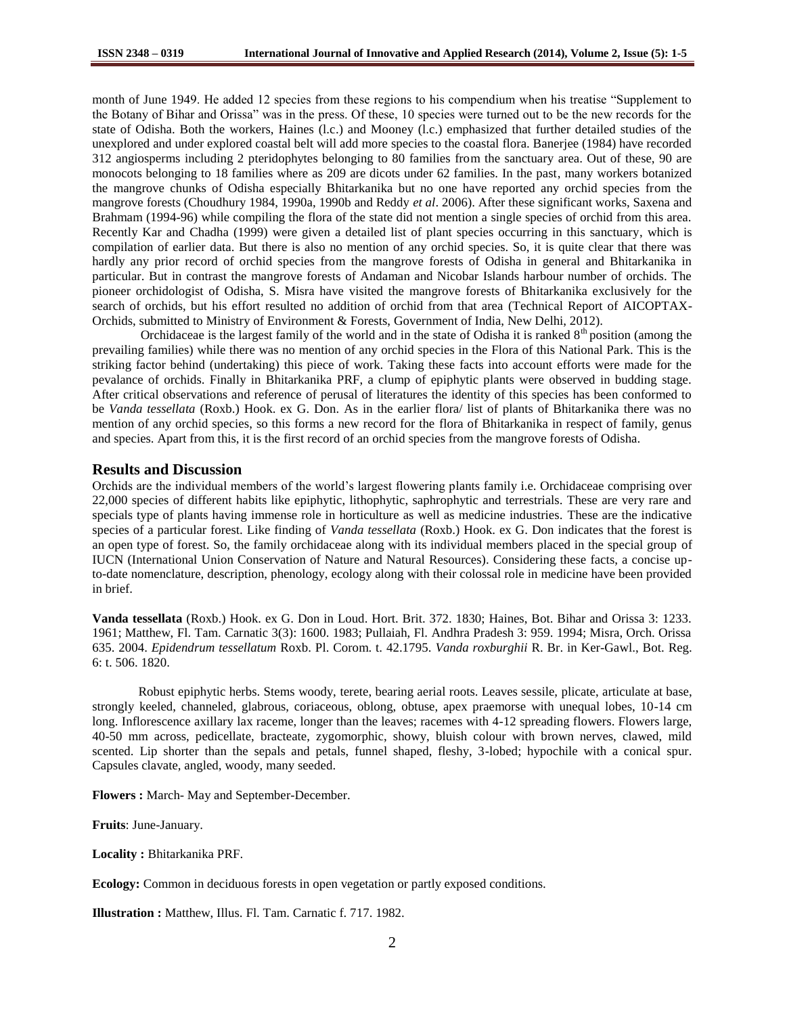month of June 1949. He added 12 species from these regions to his compendium when his treatise "Supplement to the Botany of Bihar and Orissa" was in the press. Of these, 10 species were turned out to be the new records for the state of Odisha. Both the workers, Haines (l.c.) and Mooney (l.c.) emphasized that further detailed studies of the unexplored and under explored coastal belt will add more species to the coastal flora. Banerjee (1984) have recorded 312 angiosperms including 2 pteridophytes belonging to 80 families from the sanctuary area. Out of these, 90 are monocots belonging to 18 families where as 209 are dicots under 62 families. In the past, many workers botanized the mangrove chunks of Odisha especially Bhitarkanika but no one have reported any orchid species from the mangrove forests (Choudhury 1984, 1990a, 1990b and Reddy *et al*. 2006). After these significant works, Saxena and Brahmam (1994-96) while compiling the flora of the state did not mention a single species of orchid from this area. Recently Kar and Chadha (1999) were given a detailed list of plant species occurring in this sanctuary, which is compilation of earlier data. But there is also no mention of any orchid species. So, it is quite clear that there was hardly any prior record of orchid species from the mangrove forests of Odisha in general and Bhitarkanika in particular. But in contrast the mangrove forests of Andaman and Nicobar Islands harbour number of orchids. The pioneer orchidologist of Odisha, S. Misra have visited the mangrove forests of Bhitarkanika exclusively for the search of orchids, but his effort resulted no addition of orchid from that area (Technical Report of AICOPTAX-Orchids, submitted to Ministry of Environment & Forests, Government of India, New Delhi, 2012).

Orchidaceae is the largest family of the world and in the state of Odisha it is ranked  $8<sup>th</sup>$  position (among the prevailing families) while there was no mention of any orchid species in the Flora of this National Park. This is the striking factor behind (undertaking) this piece of work. Taking these facts into account efforts were made for the pevalance of orchids. Finally in Bhitarkanika PRF, a clump of epiphytic plants were observed in budding stage. After critical observations and reference of perusal of literatures the identity of this species has been conformed to be *Vanda tessellata* (Roxb.) Hook. ex G. Don. As in the earlier flora/ list of plants of Bhitarkanika there was no mention of any orchid species, so this forms a new record for the flora of Bhitarkanika in respect of family, genus and species. Apart from this, it is the first record of an orchid species from the mangrove forests of Odisha.

### **Results and Discussion**

Orchids are the individual members of the world's largest flowering plants family i.e. Orchidaceae comprising over 22,000 species of different habits like epiphytic, lithophytic, saphrophytic and terrestrials. These are very rare and specials type of plants having immense role in horticulture as well as medicine industries. These are the indicative species of a particular forest. Like finding of *Vanda tessellata* (Roxb.) Hook. ex G. Don indicates that the forest is an open type of forest. So, the family orchidaceae along with its individual members placed in the special group of IUCN (International Union Conservation of Nature and Natural Resources). Considering these facts, a concise upto-date nomenclature, description, phenology, ecology along with their colossal role in medicine have been provided in brief.

**Vanda tessellata** (Roxb.) Hook. ex G. Don in Loud. Hort. Brit. 372. 1830; Haines, Bot. Bihar and Orissa 3: 1233. 1961; Matthew, Fl. Tam. Carnatic 3(3): 1600. 1983; Pullaiah, Fl. Andhra Pradesh 3: 959. 1994; Misra, Orch. Orissa 635. 2004. *Epidendrum tessellatum* Roxb. Pl. Corom. t. 42.1795. *Vanda roxburghii* R. Br. in Ker-Gawl., Bot. Reg. 6: t. 506. 1820.

Robust epiphytic herbs. Stems woody, terete, bearing aerial roots. Leaves sessile, plicate, articulate at base, strongly keeled, channeled, glabrous, coriaceous, oblong, obtuse, apex praemorse with unequal lobes, 10-14 cm long. Inflorescence axillary lax raceme, longer than the leaves; racemes with 4-12 spreading flowers. Flowers large, 40-50 mm across, pedicellate, bracteate, zygomorphic, showy, bluish colour with brown nerves, clawed, mild scented. Lip shorter than the sepals and petals, funnel shaped, fleshy, 3-lobed; hypochile with a conical spur. Capsules clavate, angled, woody, many seeded.

**Flowers :** March- May and September-December.

**Fruits**: June-January.

**Locality :** Bhitarkanika PRF.

**Ecology:** Common in deciduous forests in open vegetation or partly exposed conditions.

**Illustration :** Matthew, Illus. Fl. Tam. Carnatic f. 717. 1982.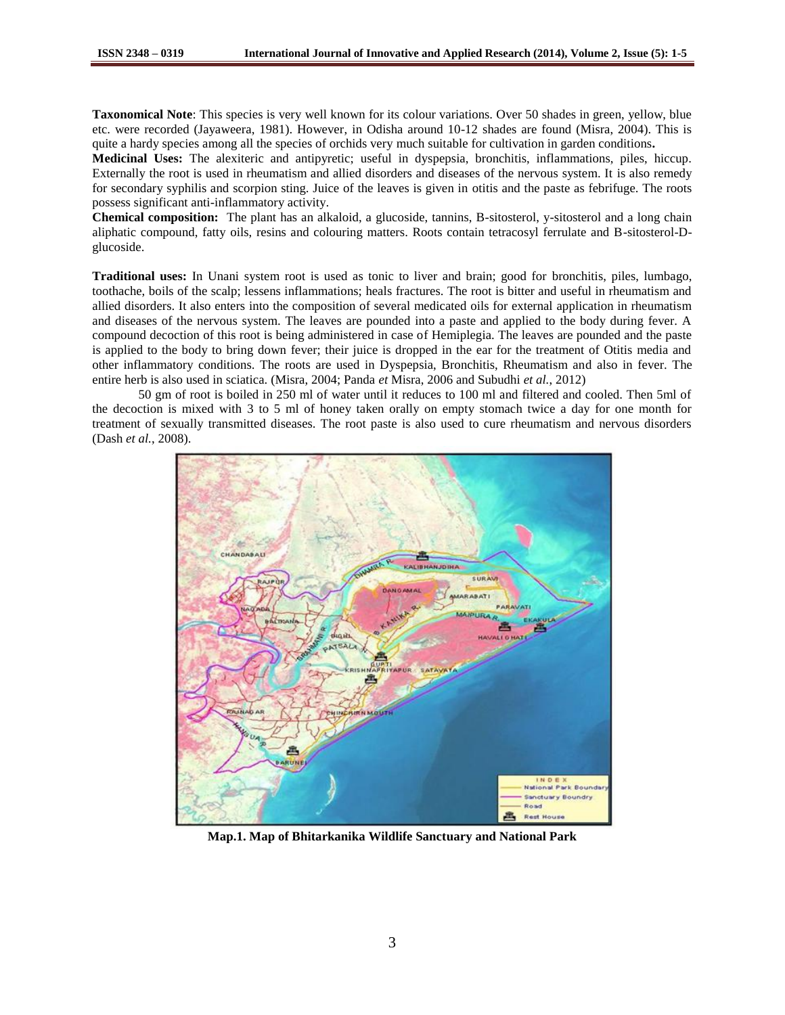**Taxonomical Note**: This species is very well known for its colour variations. Over 50 shades in green, yellow, blue etc. were recorded (Jayaweera, 1981). However, in Odisha around 10-12 shades are found (Misra, 2004). This is quite a hardy species among all the species of orchids very much suitable for cultivation in garden conditions**.**

**Medicinal Uses:** The alexiteric and antipyretic; useful in dyspepsia, bronchitis, inflammations, piles, hiccup. Externally the root is used in rheumatism and allied disorders and diseases of the nervous system. It is also remedy for secondary syphilis and scorpion sting. Juice of the leaves is given in otitis and the paste as febrifuge. The roots possess significant anti-inflammatory activity.

**Chemical composition:** The plant has an alkaloid, a glucoside, tannins, B-sitosterol, y-sitosterol and a long chain aliphatic compound, fatty oils, resins and colouring matters. Roots contain tetracosyl ferrulate and B-sitosterol-Dglucoside.

**Traditional uses:** In Unani system root is used as tonic to liver and brain; good for bronchitis, piles, lumbago, toothache, boils of the scalp; lessens inflammations; heals fractures. The root is bitter and useful in rheumatism and allied disorders. It also enters into the composition of several medicated oils for external application in rheumatism and diseases of the nervous system. The leaves are pounded into a paste and applied to the body during fever. A compound decoction of this root is being administered in case of Hemiplegia. The leaves are pounded and the paste is applied to the body to bring down fever; their juice is dropped in the ear for the treatment of Otitis media and other inflammatory conditions. The roots are used in Dyspepsia, Bronchitis, Rheumatism and also in fever. The entire herb is also used in sciatica. (Misra, 2004; Panda *et* Misra, 2006 and Subudhi *et al.*, 2012)

50 gm of root is boiled in 250 ml of water until it reduces to 100 ml and filtered and cooled. Then 5ml of the decoction is mixed with 3 to 5 ml of honey taken orally on empty stomach twice a day for one month for treatment of sexually transmitted diseases. The root paste is also used to cure rheumatism and nervous disorders (Dash *et al.*, 2008).



**Map.1. Map of Bhitarkanika Wildlife Sanctuary and National Park**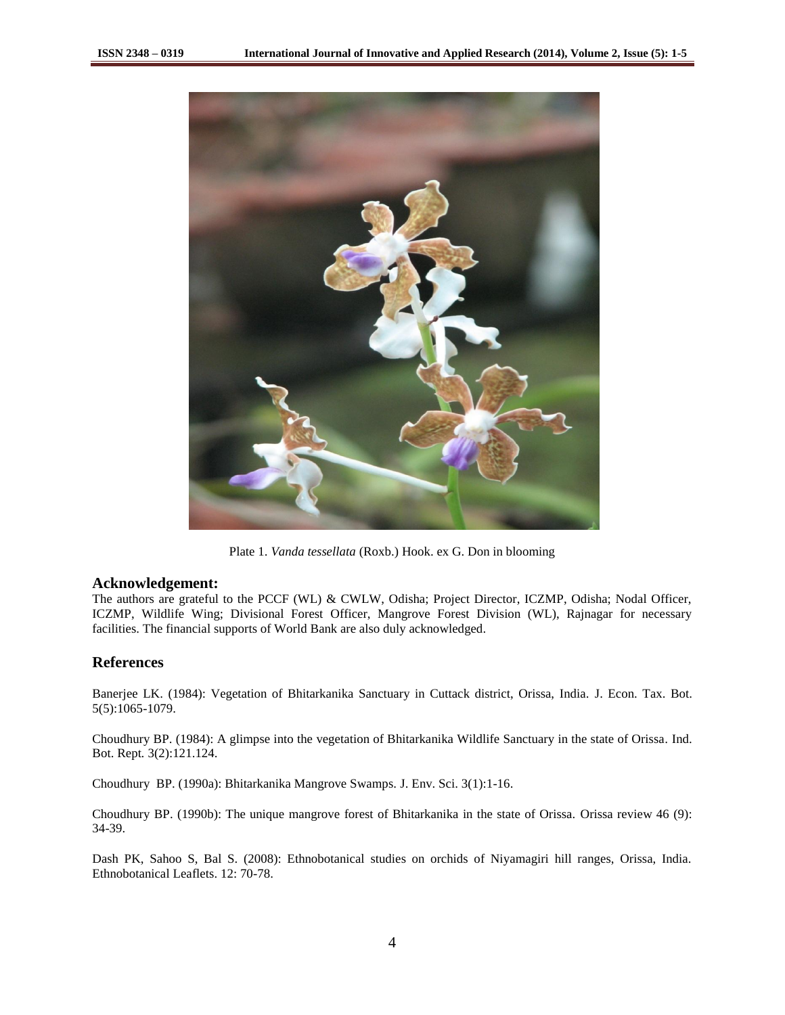

Plate 1. *Vanda tessellata* (Roxb.) Hook. ex G. Don in blooming

## **Acknowledgement:**

The authors are grateful to the PCCF (WL) & CWLW, Odisha; Project Director, ICZMP, Odisha; Nodal Officer, ICZMP, Wildlife Wing; Divisional Forest Officer, Mangrove Forest Division (WL), Rajnagar for necessary facilities. The financial supports of World Bank are also duly acknowledged.

# **References**

Banerjee LK. (1984): Vegetation of Bhitarkanika Sanctuary in Cuttack district, Orissa, India. J. Econ. Tax. Bot. 5(5):1065-1079.

Choudhury BP. (1984): A glimpse into the vegetation of Bhitarkanika Wildlife Sanctuary in the state of Orissa*.* Ind. Bot. Rept*.* 3(2):121.124.

Choudhury BP. (1990a): Bhitarkanika Mangrove Swamps. J. Env. Sci. 3(1):1-16.

Choudhury BP. (1990b): The unique mangrove forest of Bhitarkanika in the state of Orissa. Orissa review 46 (9): 34-39.

Dash PK, Sahoo S, Bal S. (2008): Ethnobotanical studies on orchids of Niyamagiri hill ranges, Orissa, India. Ethnobotanical Leaflets. 12: 70-78.